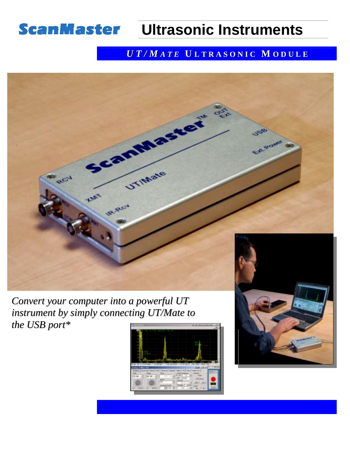

## **Ultrasonic Instruments**

## *U T / M A T E* **U L T R A S O N I C M O D U L E**



*Convert your computer into a powerful UT instrument by simply connecting UT/Mate to the USB port\**